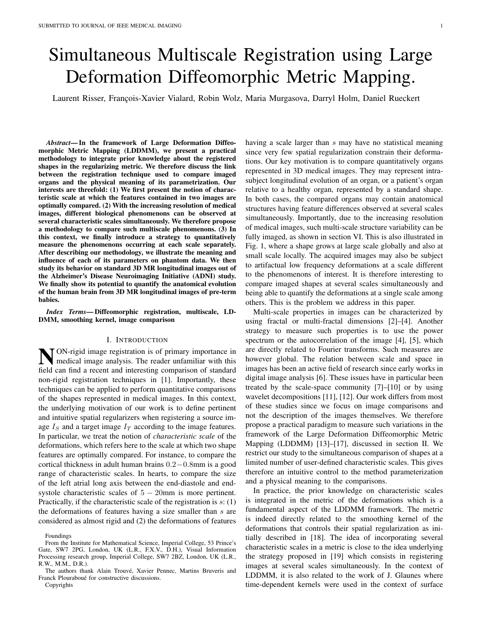# Simultaneous Multiscale Registration using Large Deformation Diffeomorphic Metric Mapping.

Laurent Risser, François-Xavier Vialard, Robin Wolz, Maria Murgasova, Darryl Holm, Daniel Rueckert

*Abstract*— In the framework of Large Deformation Diffeomorphic Metric Mapping (LDDMM), we present a practical methodology to integrate prior knowledge about the registered shapes in the regularizing metric. We therefore discuss the link between the registration technique used to compare imaged organs and the physical meaning of its parametrization. Our interests are threefold: (1) We first present the notion of characteristic scale at which the features contained in two images are optimally compared. (2) With the increasing resolution of medical images, different biological phenomenons can be observed at several characteristic scales simultaneously. We therefore propose a methodology to compare such multiscale phenomenons. (3) In this context, we finally introduce a strategy to quantitatively measure the phenomenons occurring at each scale separately. After describing our methodology, we illustrate the meaning and influence of each of its parameters on phantom data. We then study its behavior on standard 3D MR longitudinal images out of the Alzheimer's Disease Neuroimaging Initiative (ADNI) study. We finally show its potential to quantify the anatomical evolution of the human brain from 3D MR longitudinal images of pre-term babies.

*Index Terms*— Diffeomorphic registration, multiscale, LD-DMM, smoothing kernel, image comparison

## I. INTRODUCTION

**N** ON-rigid image registration is of primary importance in medical image analysis. The reader unfamiliar with this medical image analysis. The reader unfamiliar with this field can find a recent and interesting comparison of standard non-rigid registration techniques in [1]. Importantly, these techniques can be applied to perform quantitative comparisons of the shapes represented in medical images. In this context, the underlying motivation of our work is to define pertinent and intuitive spatial regularizers when registering a source image  $I<sub>S</sub>$  and a target image  $I<sub>T</sub>$  according to the image features. In particular, we treat the notion of *characteristic scale* of the deformations, which refers here to the scale at which two shape features are optimally compared. For instance, to compare the cortical thickness in adult human brains 0.2−0.8mm is a good range of characteristic scales. In hearts, to compare the size of the left atrial long axis between the end-diastole and endsystole characteristic scales of  $5 - 20$ mm is more pertinent. Practically, if the characteristic scale of the registration is  $s: (1)$ the deformations of features having a size smaller than s are considered as almost rigid and (2) the deformations of features

Foundings

having a scale larger than s may have no statistical meaning since very few spatial regularization constrain their deformations. Our key motivation is to compare quantitatively organs represented in 3D medical images. They may represent intrasubject longitudinal evolution of an organ, or a patient's organ relative to a healthy organ, represented by a standard shape. In both cases, the compared organs may contain anatomical structures having feature differences observed at several scales simultaneously. Importantly, due to the increasing resolution of medical images, such multi-scale structure variability can be fully imaged, as shown in section VI. This is also illustrated in Fig. 1, where a shape grows at large scale globally and also at small scale locally. The acquired images may also be subject to artifactual low frequency deformations at a scale different to the phenomenons of interest. It is therefore interesting to compare imaged shapes at several scales simultaneously and being able to quantify the deformations at a single scale among others. This is the problem we address in this paper.

Multi-scale properties in images can be characterized by using fractal or multi-fractal dimensions [2]–[4]. Another strategy to measure such properties is to use the power spectrum or the autocorrelation of the image [4], [5], which are directly related to Fourier transforms. Such measures are however global. The relation between scale and space in images has been an active field of research since early works in digital image analysis [6]. These issues have in particular been treated by the scale-space community [7]–[10] or by using wavelet decompositions [11], [12]. Our work differs from most of these studies since we focus on image comparisons and not the description of the images themselves. We therefore propose a practical paradigm to measure such variations in the framework of the Large Deformation Diffeomorphic Metric Mapping (LDDMM) [13]–[17], discussed in section II. We restrict our study to the simultaneous comparison of shapes at a limited number of user-defined characteristic scales. This gives therefore an intuitive control to the method parameterization and a physical meaning to the comparisons.

In practice, the prior knowledge on characteristic scales is integrated in the metric of the deformations which is a fundamental aspect of the LDDMM framework. The metric is indeed directly related to the smoothing kernel of the deformations that controls their spatial regularization as initially described in [18]. The idea of incorporating several characteristic scales in a metric is close to the idea underlying the strategy proposed in [19] which consists in registering images at several scales simultaneously. In the context of LDDMM, it is also related to the work of J. Glaunes where time-dependent kernels were used in the context of surface

From the Institute for Mathematical Science, Imperial College, 53 Prince's Gate, SW7 2PG, London, UK (L.R., F.X.V., D.H.), Visual Information Processing research group, Imperial College, SW7 2BZ, London, UK (L.R., R.W., M.M., D.R.).

The authors thank Alain Trouvé, Xavier Pennec, Martins Bruveris and Franck Plouraboué for constructive discussions. Copyrights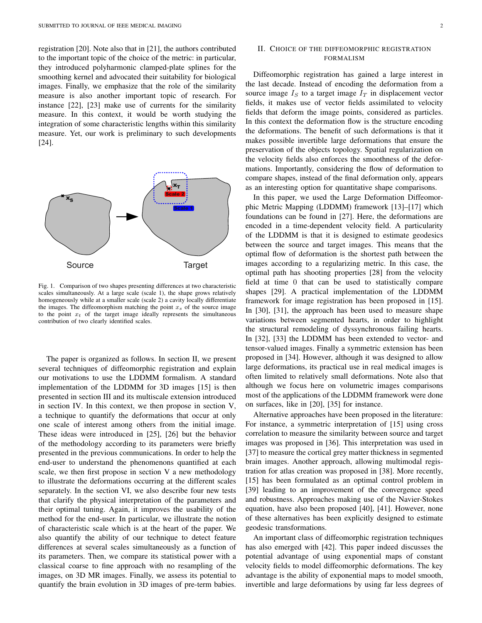registration [20]. Note also that in [21], the authors contributed to the important topic of the choice of the metric: in particular, they introduced polyharmonic clamped-plate splines for the smoothing kernel and advocated their suitability for biological images. Finally, we emphasize that the role of the similarity measure is also another important topic of research. For instance [22], [23] make use of currents for the similarity measure. In this context, it would be worth studying the integration of some characteristic lengths within this similarity measure. Yet, our work is preliminary to such developments [24].



Fig. 1. Comparison of two shapes presenting differences at two characteristic scales simultaneously. At a large scale (scale 1), the shape grows relatively homogeneously while at a smaller scale (scale 2) a cavity locally differentiate the images. The diffeomorphism matching the point  $x<sub>s</sub>$  of the source image to the point  $x_t$  of the target image ideally represents the simultaneous contribution of two clearly identified scales.

The paper is organized as follows. In section II, we present several techniques of diffeomorphic registration and explain our motivations to use the LDDMM formalism. A standard implementation of the LDDMM for 3D images [15] is then presented in section III and its multiscale extension introduced in section IV. In this context, we then propose in section V, a technique to quantify the deformations that occur at only one scale of interest among others from the initial image. These ideas were introduced in [25], [26] but the behavior of the methodology according to its parameters were briefly presented in the previous communications. In order to help the end-user to understand the phenomenons quantified at each scale, we then first propose in section V a new methodology to illustrate the deformations occurring at the different scales separately. In the section VI, we also describe four new tests that clarify the physical interpretation of the parameters and their optimal tuning. Again, it improves the usability of the method for the end-user. In particular, we illustrate the notion of characteristic scale which is at the heart of the paper. We also quantify the ability of our technique to detect feature differences at several scales simultaneously as a function of its parameters. Then, we compare its statistical power with a classical coarse to fine approach with no resampling of the images, on 3D MR images. Finally, we assess its potential to quantify the brain evolution in 3D images of pre-term babies.

## II. CHOICE OF THE DIFFEOMORPHIC REGISTRATION FORMALISM

Diffeomorphic registration has gained a large interest in the last decade. Instead of encoding the deformation from a source image  $I<sub>S</sub>$  to a target image  $I<sub>T</sub>$  in displacement vector fields, it makes use of vector fields assimilated to velocity fields that deform the image points, considered as particles. In this context the deformation flow is the structure encoding the deformations. The benefit of such deformations is that it makes possible invertible large deformations that ensure the preservation of the objects topology. Spatial regularization on the velocity fields also enforces the smoothness of the deformations. Importantly, considering the flow of deformation to compare shapes, instead of the final deformation only, appears as an interesting option for quantitative shape comparisons.

In this paper, we used the Large Deformation Diffeomorphic Metric Mapping (LDDMM) framework [13]–[17] which foundations can be found in [27]. Here, the deformations are encoded in a time-dependent velocity field. A particularity of the LDDMM is that it is designed to estimate geodesics between the source and target images. This means that the optimal flow of deformation is the shortest path between the images according to a regularizing metric. In this case, the optimal path has shooting properties [28] from the velocity field at time 0 that can be used to statistically compare shapes [29]. A practical implementation of the LDDMM framework for image registration has been proposed in [15]. In [30], [31], the approach has been used to measure shape variations between segmented hearts, in order to highlight the structural remodeling of dyssynchronous failing hearts. In [32], [33] the LDDMM has been extended to vector- and tensor-valued images. Finally a symmetric extension has been proposed in [34]. However, although it was designed to allow large deformations, its practical use in real medical images is often limited to relatively small deformations. Note also that although we focus here on volumetric images comparisons most of the applications of the LDDMM framework were done on surfaces, like in [20], [35] for instance.

Alternative approaches have been proposed in the literature: For instance, a symmetric interpretation of [15] using cross correlation to measure the similarity between source and target images was proposed in [36]. This interpretation was used in [37] to measure the cortical grey matter thickness in segmented brain images. Another approach, allowing multimodal registration for atlas creation was proposed in [38]. More recently, [15] has been formulated as an optimal control problem in [39] leading to an improvement of the convergence speed and robustness. Approaches making use of the Navier-Stokes equation, have also been proposed [40], [41]. However, none of these alternatives has been explicitly designed to estimate geodesic transformations.

An important class of diffeomorphic registration techniques has also emerged with [42]. This paper indeed discusses the potential advantage of using exponential maps of constant velocity fields to model diffeomorphic deformations. The key advantage is the ability of exponential maps to model smooth, invertible and large deformations by using far less degrees of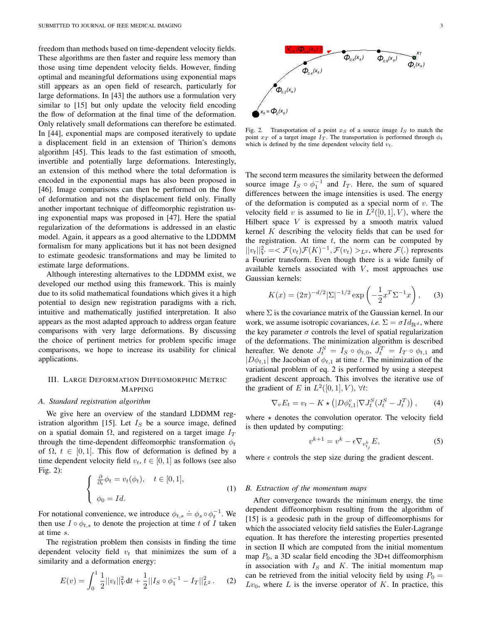freedom than methods based on time-dependent velocity fields. These algorithms are then faster and require less memory than those using time dependent velocity fields. However, finding optimal and meaningful deformations using exponential maps still appears as an open field of research, particularly for large deformations. In [43] the authors use a formulation very similar to [15] but only update the velocity field encoding the flow of deformation at the final time of the deformation. Only relatively small deformations can therefore be estimated. In [44], exponential maps are composed iteratively to update a displacement field in an extension of Thirion's demons algorithm [45]. This leads to the fast estimation of smooth, invertible and potentially large deformations. Interestingly, an extension of this method where the total deformation is encoded in the exponential maps has also been proposed in [46]. Image comparisons can then be performed on the flow of deformation and not the displacement field only. Finally another important technique of diffeomorphic registration using exponential maps was proposed in [47]. Here the spatial regularization of the deformations is addressed in an elastic model. Again, it appears as a good alternative to the LDDMM formalism for many applications but it has not been designed to estimate geodesic transformations and may be limited to estimate large deformations.

Although interesting alternatives to the LDDMM exist, we developed our method using this framework. This is mainly due to its solid mathematical foundations which gives it a high potential to design new registration paradigms with a rich, intuitive and mathematically justified interpretation. It also appears as the most adapted approach to address organ feature comparisons with very large deformations. By discussing the choice of pertinent metrics for problem specific image comparisons, we hope to increase its usability for clinical applications.

## III. LARGE DEFORMATION DIFFEOMORPHIC METRIC MAPPING

#### *A. Standard registration algorithm*

We give here an overview of the standard LDDMM registration algorithm [15]. Let  $I<sub>S</sub>$  be a source image, defined on a spatial domain  $\Omega$ , and registered on a target image  $I_T$ through the time-dependent diffeomorphic transformation  $\phi_t$ of  $\Omega$ ,  $t \in [0, 1]$ . This flow of deformation is defined by a time dependent velocity field  $v_t$ ,  $t \in [0, 1]$  as follows (see also Fig. 2):

$$
\begin{cases} \frac{\partial}{\partial t} \phi_t = v_t(\phi_t), \quad t \in [0, 1], \\ \phi_0 = Id. \end{cases}
$$
 (1)

For notational convenience, we introduce  $\phi_{t,s} \doteq \phi_s \circ \phi_t^{-1}$ . We then use  $I \circ \phi_{t,s}$  to denote the projection at time t of I taken at time s.

The registration problem then consists in finding the time dependent velocity field  $v_t$  that minimizes the sum of a similarity and a deformation energy:

$$
E(v) = \int_0^1 \frac{1}{2} ||v_t||_V^2 dt + \frac{1}{2} ||I_S \circ \phi_1^{-1} - I_T||_{L^2}^2.
$$
 (2)

Fig. 2. Transportation of a point  $x_S$  of a source image  $I_S$  to match the point  $x_T$  of a target image  $I_T$ . The transportation is performed through  $\phi_t$ which is defined by the time dependent velocity field  $v_t$ .

The second term measures the similarity between the deformed source image  $I_S \circ \phi_1^{-1}$  and  $I_T$ . Here, the sum of squared differences between the image intensities is used. The energy of the deformation is computed as a special norm of  $v$ . The velocity field v is assumed to lie in  $L^2([0,1], V)$ , where the Hilbert space  $V$  is expressed by a smooth matrix valued kernel  $K$  describing the velocity fields that can be used for the registration. At time  $t$ , the norm can be computed by  $||v_t||_V^2 = \mathcal{F}(v_t)\mathcal{F}(K)^{-1}, \mathcal{F}(v_t) >_{L^2}$ , where  $\mathcal{F}(.)$  represents a Fourier transform. Even though there is a wide family of available kernels associated with  $V$ , most approaches use Gaussian kernels:

$$
K(x) = (2\pi)^{-d/2} |\Sigma|^{-1/2} \exp\left(-\frac{1}{2}x^T \Sigma^{-1} x\right), \quad (3)
$$

where  $\Sigma$  is the covariance matrix of the Gaussian kernel. In our work, we assume isotropic covariances, *i.e.*  $\Sigma = \sigma Id_{\mathbb{R}^d}$ , where the key parameter  $\sigma$  controls the level of spatial regularization of the deformations. The minimization algorithm is described hereafter. We denote  $J_t^S = I_S \circ \phi_{t,0}, J_t^T = I_T \circ \phi_{t,1}$  and  $|D\phi_{t,1}|$  the Jacobian of  $\phi_{t,1}$  at time t. The minimization of the variational problem of eq. 2 is performed by using a steepest gradient descent approach. This involves the iterative use of the gradient of E in  $L^2([0,1], V)$ ,  $\forall t$ :

$$
\nabla_v E_t = v_t - K \star \left( |D\phi_{t,1}^v| \nabla J_t^S (J_t^S - J_t^T) \right), \tag{4}
$$

where  $\star$  denotes the convolution operator. The velocity field is then updated by computing:

$$
v^{k+1} = v^k - \epsilon \nabla_{v^k_{t_j}} E,\tag{5}
$$

where  $\epsilon$  controls the step size during the gradient descent.

### *B. Extraction of the momentum maps*

After convergence towards the minimum energy, the time dependent diffeomorphism resulting from the algorithm of [15] is a geodesic path in the group of diffeomorphisms for which the associated velocity field satisfies the Euler-Lagrange equation. It has therefore the interesting properties presented in section II which are computed from the initial momentum map  $P_0$ , a 3D scalar field encoding the 3D+t diffeomorphism in association with  $I<sub>S</sub>$  and K. The initial momentum map can be retrieved from the initial velocity field by using  $P_0 =$  $Lv_0$ , where L is the inverse operator of K. In practice, this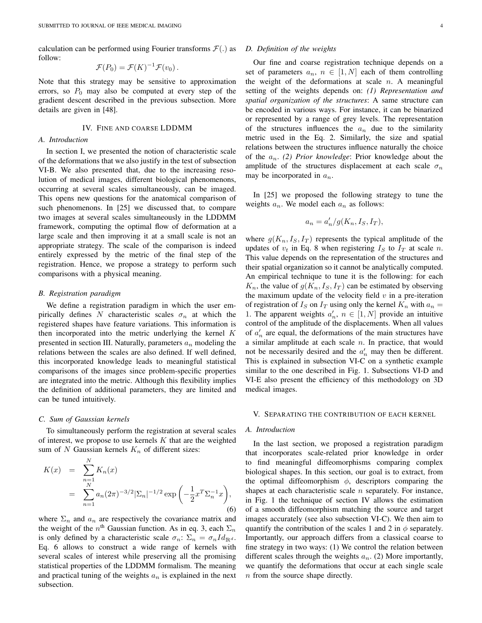calculation can be performed using Fourier transforms  $\mathcal{F}(\cdot)$  as follow:

$$
\mathcal{F}(P_0) = \mathcal{F}(K)^{-1}\mathcal{F}(v_0).
$$

Note that this strategy may be sensitive to approximation errors, so  $P_0$  may also be computed at every step of the gradient descent described in the previous subsection. More details are given in [48].

## IV. FINE AND COARSE LDDMM

#### *A. Introduction*

In section I, we presented the notion of characteristic scale of the deformations that we also justify in the test of subsection VI-B. We also presented that, due to the increasing resolution of medical images, different biological phenomenons, occurring at several scales simultaneously, can be imaged. This opens new questions for the anatomical comparison of such phenomenons. In [25] we discussed that, to compare two images at several scales simultaneously in the LDDMM framework, computing the optimal flow of deformation at a large scale and then improving it at a small scale is not an appropriate strategy. The scale of the comparison is indeed entirely expressed by the metric of the final step of the registration. Hence, we propose a strategy to perform such comparisons with a physical meaning.

#### *B. Registration paradigm*

We define a registration paradigm in which the user empirically defines N characteristic scales  $\sigma_n$  at which the registered shapes have feature variations. This information is then incorporated into the metric underlying the kernel  $K$ presented in section III. Naturally, parameters  $a_n$  modeling the relations between the scales are also defined. If well defined, this incorporated knowledge leads to meaningful statistical comparisons of the images since problem-specific properties are integrated into the metric. Although this flexibility implies the definition of additional parameters, they are limited and can be tuned intuitively.

## *C. Sum of Gaussian kernels*

To simultaneously perform the registration at several scales of interest, we propose to use kernels  $K$  that are the weighted sum of N Gaussian kernels  $K_n$  of different sizes:

$$
K(x) = \sum_{\substack{n=1 \ n \geq 1}}^{N} K_n(x)
$$
  
= 
$$
\sum_{n=1}^{N} a_n (2\pi)^{-3/2} |\Sigma_n|^{-1/2} \exp\left(-\frac{1}{2} x^T \Sigma_n^{-1} x\right),
$$
 (6)

where  $\Sigma_n$  and  $a_n$  are respectively the covariance matrix and the weight of the  $n^{\text{th}}$  Gaussian function. As in eq. 3, each  $\Sigma_n$ is only defined by a characteristic scale  $\sigma_n$ :  $\Sigma_n = \sigma_n Id_{\mathbb{R}^d}$ . Eq. 6 allows to construct a wide range of kernels with several scales of interest while preserving all the promising statistical properties of the LDDMM formalism. The meaning and practical tuning of the weights  $a_n$  is explained in the next subsection.

#### *D. Definition of the weights*

Our fine and coarse registration technique depends on a set of parameters  $a_n$ ,  $n \in [1, N]$  each of them controlling the weight of the deformations at scale  $n$ . A meaningful setting of the weights depends on: *(1) Representation and spatial organization of the structures*: A same structure can be encoded in various ways. For instance, it can be binarized or represented by a range of grey levels. The representation of the structures influences the  $a_n$  due to the similarity metric used in the Eq. 2. Similarly, the size and spatial relations between the structures influence naturally the choice of the an. *(2) Prior knowledge*: Prior knowledge about the amplitude of the structures displacement at each scale  $\sigma_n$ may be incorporated in  $a_n$ .

In [25] we proposed the following strategy to tune the weights  $a_n$ . We model each  $a_n$  as follows:

$$
a_n = a'_n/g(K_n, I_S, I_T),
$$

where  $g(K_n, I_s, I_T)$  represents the typical amplitude of the updates of  $v_t$  in Eq. 8 when registering  $I_S$  to  $I_T$  at scale n. This value depends on the representation of the structures and their spatial organization so it cannot be analytically computed. An empirical technique to tune it is the following: for each  $K_n$ , the value of  $g(K_n, I_s, I_T)$  can be estimated by observing the maximum update of the velocity field  $v$  in a pre-iteration of registration of  $I_S$  on  $I_T$  using only the kernel  $K_n$  with  $a_n =$ 1. The apparent weights  $a'_n, n \in [1, N]$  provide an intuitive control of the amplitude of the displacements. When all values of  $a'_n$  are equal, the deformations of the main structures have a similar amplitude at each scale  $n$ . In practice, that would not be necessarily desired and the  $a'_n$  may then be different. This is explained in subsection VI-C on a synthetic example similar to the one described in Fig. 1. Subsections VI-D and VI-E also present the efficiency of this methodology on 3D medical images.

#### V. SEPARATING THE CONTRIBUTION OF EACH KERNEL

#### *A. Introduction*

In the last section, we proposed a registration paradigm that incorporates scale-related prior knowledge in order to find meaningful diffeomorphisms comparing complex biological shapes. In this section, our goal is to extract, from the optimal diffeomorphism  $\phi$ , descriptors comparing the shapes at each characteristic scale  $n$  separately. For instance, in Fig. 1 the technique of section IV allows the estimation of a smooth diffeomorphism matching the source and target images accurately (see also subsection VI-C). We then aim to quantify the contribution of the scales 1 and 2 in  $\phi$  separately. Importantly, our approach differs from a classical coarse to fine strategy in two ways: (1) We control the relation between different scales through the weights  $a_n$ . (2) More importantly, we quantify the deformations that occur at each single scale n from the source shape directly.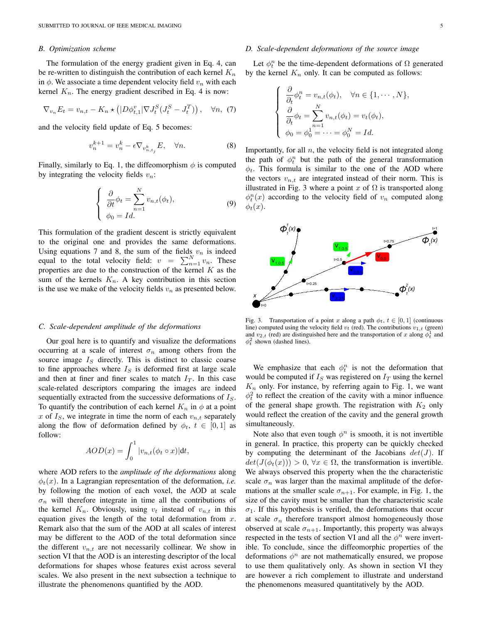#### *B. Optimization scheme*

The formulation of the energy gradient given in Eq. 4, can be re-written to distinguish the contribution of each kernel  $K_n$ in  $\phi$ . We associate a time dependent velocity field  $v_n$  with each kernel  $K_n$ . The energy gradient described in Eq. 4 is now:

$$
\nabla_{v_n} E_t = v_{n,t} - K_n \star \left( |D\phi_{t,1}^v| \nabla J_t^S (J_t^S - J_t^T) \right), \quad \forall n, (7)
$$

and the velocity field update of Eq. 5 becomes:

$$
v_n^{k+1} = v_n^k - \epsilon \nabla_{v_{n,t_j}^k} E, \quad \forall n.
$$
 (8)

Finally, similarly to Eq. 1, the diffeomorphism  $\phi$  is computed by integrating the velocity fields  $v_n$ :

$$
\begin{cases}\n\frac{\partial}{\partial t}\phi_t = \sum_{n=1}^N v_{n,t}(\phi_t), \\
\phi_0 = Id.\n\end{cases}
$$
\n(9)

This formulation of the gradient descent is strictly equivalent to the original one and provides the same deformations. Using equations 7 and 8, the sum of the fields  $v_n$  is indeed equal to the total velocity field:  $v = \sum_{n=1}^{N} v_n$ . These properties are due to the construction of the kernel  $K$  as the sum of the kernels  $K_n$ . A key contribution in this section is the use we make of the velocity fields  $v_n$  as presented below.

#### *C. Scale-dependent amplitude of the deformations*

Our goal here is to quantify and visualize the deformations occurring at a scale of interest  $\sigma_n$  among others from the source image  $I<sub>S</sub>$  directly. This is distinct to classic coarse to fine approaches where  $I<sub>S</sub>$  is deformed first at large scale and then at finer and finer scales to match  $I_T$ . In this case scale-related descriptors comparing the images are indeed sequentially extracted from the successive deformations of  $I<sub>S</sub>$ . To quantify the contribution of each kernel  $K_n$  in  $\phi$  at a point x of  $I<sub>S</sub>$ , we integrate in time the norm of each  $v<sub>n,t</sub>$  separately along the flow of deformation defined by  $\phi_t$ ,  $t \in [0,1]$  as follow:

$$
AOD(x) = \int_0^1 |v_{n,t}(\phi_t \circ x)| \mathrm{d}t,
$$

where AOD refers to the *amplitude of the deformations* along  $\phi_t(x)$ . In a Lagrangian representation of the deformation, *i.e.* by following the motion of each voxel, the AOD at scale  $\sigma_n$  will therefore integrate in time all the contributions of the kernel  $K_n$ . Obviously, using  $v_t$  instead of  $v_{n,t}$  in this equation gives the length of the total deformation from  $x$ . Remark also that the sum of the AOD at all scales of interest may be different to the AOD of the total deformation since the different  $v_{n,t}$  are not necessarily collinear. We show in section VI that the AOD is an interesting descriptor of the local deformations for shapes whose features exist across several scales. We also present in the next subsection a technique to illustrate the phenomenons quantified by the AOD.

#### *D. Scale-dependent deformations of the source image*

Let  $\phi_t^n$  be the time-dependent deformations of  $\Omega$  generated by the kernel  $K_n$  only. It can be computed as follows:

$$
\begin{cases}\n\frac{\partial}{\partial_t} \phi_t^n = v_{n,t}(\phi_t), \quad \forall n \in \{1, \cdots, N\}, \\
\frac{\partial}{\partial_t} \phi_t = \sum_{n=1}^N v_{n,t}(\phi_t) = v_t(\phi_t), \\
\phi_0 = \phi_0^1 = \cdots = \phi_0^N = Id.\n\end{cases}
$$

Importantly, for all  $n$ , the velocity field is not integrated along the path of  $\phi_t^n$  but the path of the general transformation  $\phi_t$ . This formula is similar to the one of the AOD where the vectors  $v_{n,t}$  are integrated instead of their norm. This is illustrated in Fig. 3 where a point x of  $\Omega$  is transported along  $\phi_t^n(x)$  according to the velocity field of  $v_n$  computed along  $\phi_t(x)$ .



Fig. 3. Transportation of a point x along a path  $\phi_t$ ,  $t \in [0, 1]$  (continuous line) computed using the velocity field  $v_t$  (red). The contributions  $v_{1,t}$  (green) and  $v_{2,t}$  (red) are distinguished here and the transportation of x along  $\phi_t^1$  and  $\phi_t^2$  shown (dashed lines).

We emphasize that each  $\phi_t^n$  is not the deformation that would be computed if  $I<sub>S</sub>$  was registered on  $I<sub>T</sub>$  using the kernel  $K_n$  only. For instance, by referring again to Fig. 1, we want  $\phi_t^2$  to reflect the creation of the cavity with a minor influence of the general shape growth. The registration with  $K_2$  only would reflect the creation of the cavity and the general growth simultaneously.

Note also that even tough  $\phi^n$  is smooth, it is not invertible in general. In practice, this property can be quickly checked by computing the determinant of the Jacobians  $det(J)$ . If  $det(J(\phi_t(x))) > 0, \forall x \in \Omega$ , the transformation is invertible. We always observed this property when the the characteristic scale  $\sigma_n$  was larger than the maximal amplitude of the deformations at the smaller scale  $\sigma_{n+1}$ . For example, in Fig. 1, the size of the cavity must be smaller than the characteristic scale  $\sigma_1$ . If this hypothesis is verified, the deformations that occur at scale  $\sigma_n$  therefore transport almost homogeneously those observed at scale  $\sigma_{n+1}$ . Importantly, this property was always respected in the tests of section VI and all the  $\phi^n$  were invertible. To conclude, since the diffeomorphic properties of the deformations  $\phi^n$  are not mathematically ensured, we propose to use them qualitatively only. As shown in section VI they are however a rich complement to illustrate and understand the phenomenons measured quantitatively by the AOD.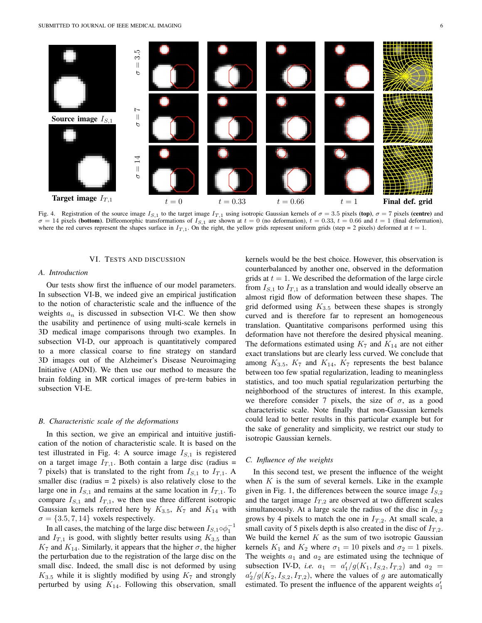

Fig. 4. Registration of the source image  $I_{S,1}$  to the target image  $I_{T,1}$  using isotropic Gaussian kernels of  $\sigma = 3.5$  pixels (top),  $\sigma = 7$  pixels (centre) and  $\sigma = 14$  pixels (bottom). Diffeomorphic transformations of  $I_{S,1}$  are shown at  $t = 0$  (no deformation),  $t = 0.33$ ,  $t = 0.66$  and  $t = 1$  (final deformation), where the red curves represent the shapes surface in  $I_{T,1}$ . On the right, the yellow grids represent uniform grids (step = 2 pixels) deformed at  $t = 1$ .

## VI. TESTS AND DISCUSSION

## *A. Introduction*

Our tests show first the influence of our model parameters. In subsection VI-B, we indeed give an empirical justification to the notion of characteristic scale and the influence of the weights  $a_n$  is discussed in subsection VI-C. We then show the usability and pertinence of using multi-scale kernels in 3D medical image comparisons through two examples. In subsection VI-D, our approach is quantitatively compared to a more classical coarse to fine strategy on standard 3D images out of the Alzheimer's Disease Neuroimaging Initiative (ADNI). We then use our method to measure the brain folding in MR cortical images of pre-term babies in subsection VI-E.

#### *B. Characteristic scale of the deformations*

In this section, we give an empirical and intuitive justification of the notion of characteristic scale. It is based on the test illustrated in Fig. 4: A source image  $I_{S,1}$  is registered on a target image  $I_{T,1}$ . Both contain a large disc (radius = 7 pixels) that is translated to the right from  $I_{S,1}$  to  $I_{T,1}$ . A smaller disc (radius  $= 2$  pixels) is also relatively close to the large one in  $I_{S,1}$  and remains at the same location in  $I_{T,1}$ . To compare  $I_{S,1}$  and  $I_{T,1}$ , we then use three different isotropic Gaussian kernels referred here by  $K_{3.5}$ ,  $K_7$  and  $K_{14}$  with  $\sigma = \{3.5, 7, 14\}$  voxels respectively.

In all cases, the matching of the large disc between  $I_{S,1} \circ \phi_1^{-1}$ and  $I_{T,1}$  is good, with slightly better results using  $K_{3.5}$  than  $K_7$  and  $K_{14}$ . Similarly, it appears that the higher  $\sigma$ , the higher the perturbation due to the registration of the large disc on the small disc. Indeed, the small disc is not deformed by using  $K_{3.5}$  while it is slightly modified by using  $K_7$  and strongly perturbed by using  $K_{14}$ . Following this observation, small

kernels would be the best choice. However, this observation is counterbalanced by another one, observed in the deformation grids at  $t = 1$ . We described the deformation of the large circle from  $I_{S,1}$  to  $I_{T,1}$  as a translation and would ideally observe an almost rigid flow of deformation between these shapes. The grid deformed using  $K_{3,5}$  between these shapes is strongly curved and is therefore far to represent an homogeneous translation. Quantitative comparisons performed using this deformation have not therefore the desired physical meaning. The deformations estimated using  $K_7$  and  $K_{14}$  are not either exact translations but are clearly less curved. We conclude that among  $K_{3,5}$ ,  $K_7$  and  $K_{14}$ ,  $K_7$  represents the best balance between too few spatial regularization, leading to meaningless statistics, and too much spatial regularization perturbing the neighborhood of the structures of interest. In this example, we therefore consider 7 pixels, the size of  $\sigma$ , as a good characteristic scale. Note finally that non-Gaussian kernels could lead to better results in this particular example but for the sake of generality and simplicity, we restrict our study to isotropic Gaussian kernels.

## *C. Influence of the weights*

In this second test, we present the influence of the weight when  $K$  is the sum of several kernels. Like in the example given in Fig. 1, the differences between the source image  $I_{S,2}$ and the target image  $I_{T,2}$  are observed at two different scales simultaneously. At a large scale the radius of the disc in  $I_{S,2}$ grows by 4 pixels to match the one in  $I_{T,2}$ . At small scale, a small cavity of 5 pixels depth is also created in the disc of  $I_{T,2}$ . We build the kernel  $K$  as the sum of two isotropic Gaussian kernels  $K_1$  and  $K_2$  where  $\sigma_1 = 10$  pixels and  $\sigma_2 = 1$  pixels. The weights  $a_1$  and  $a_2$  are estimated using the technique of subsection IV-D, *i.e.*  $a_1 = a'_1/g(K_1, I_{S,2}, I_{T,2})$  and  $a_2 =$  $a'_2/g(K_2, I_{S,2}, I_{T,2})$ , where the values of g are automatically estimated. To present the influence of the apparent weights  $a'_1$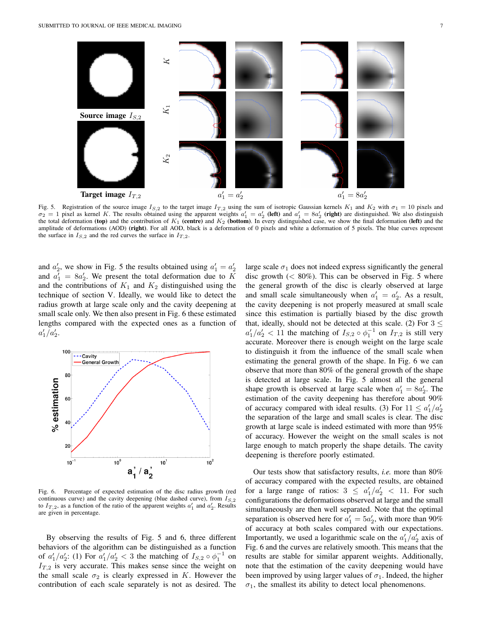

Fig. 5. Registration of the source image  $I_{S,2}$  to the target image  $I_{T,2}$  using the sum of isotropic Gaussian kernels  $K_1$  and  $K_2$  with  $\sigma_1 = 10$  pixels and  $\sigma_2 = 1$  pixel as kernel K. The results obtained using the apparent weights  $a'_1 = a'_2$  (left) and  $a'_1 = 8a'_2$  (right) are distinguished. We also distinguish the total deformation (top) and the contribution of  $K_1$  (centre) and  $K_2$  (bottom). In every distinguished case, we show the final deformation (left) and the amplitude of deformations (AOD) (right). For all AOD, black is a deformation of 0 pixels and white a deformation of 5 pixels. The blue curves represent the surface in  $I_{S,2}$  and the red curves the surface in  $I_{T,2}$ .

and  $a'_2$ , we show in Fig. 5 the results obtained using  $a'_1 = a'_2$ and  $a'_1 = 8a'_2$ . We present the total deformation due to K and the contributions of  $K_1$  and  $K_2$  distinguished using the technique of section V. Ideally, we would like to detect the radius growth at large scale only and the cavity deepening at small scale only. We then also present in Fig. 6 these estimated lengths compared with the expected ones as a function of  $a'_1/a'_2.$ 



Fig. 6. Percentage of expected estimation of the disc radius growth (red continuous curve) and the cavity deepening (blue dashed curve), from  $I_{S,2}$ to  $I_{T,2}$ , as a function of the ratio of the apparent weights  $a'_1$  and  $a'_2$ . Results are given in percentage.

By observing the results of Fig. 5 and 6, three different behaviors of the algorithm can be distinguished as a function of  $a'_1/a'_2$ : (1) For  $a'_1/a'_2 < 3$  the matching of  $I_{S,2} \circ \phi_1^{-1}$  on  $I_{T,2}$  is very accurate. This makes sense since the weight on the small scale  $\sigma_2$  is clearly expressed in K. However the contribution of each scale separately is not as desired. The large scale  $\sigma_1$  does not indeed express significantly the general disc growth  $(< 80\%)$ . This can be observed in Fig. 5 where the general growth of the disc is clearly observed at large and small scale simultaneously when  $a'_1 = a'_2$ . As a result, the cavity deepening is not properly measured at small scale since this estimation is partially biased by the disc growth that, ideally, should not be detected at this scale. (2) For  $3 \le$  $a'_1/a'_2 < 11$  the matching of  $I_{S,2} \circ \phi_1^{-1}$  on  $I_{T,2}$  is still very accurate. Moreover there is enough weight on the large scale to distinguish it from the influence of the small scale when estimating the general growth of the shape. In Fig. 6 we can observe that more than 80% of the general growth of the shape is detected at large scale. In Fig. 5 almost all the general shape growth is observed at large scale when  $a'_1 = 8a'_2$ . The estimation of the cavity deepening has therefore about 90% of accuracy compared with ideal results. (3) For  $11 \le a'_1/a'_2$ the separation of the large and small scales is clear. The disc growth at large scale is indeed estimated with more than 95% of accuracy. However the weight on the small scales is not large enough to match properly the shape details. The cavity deepening is therefore poorly estimated.

Our tests show that satisfactory results, *i.e.* more than 80% of accuracy compared with the expected results, are obtained for a large range of ratios:  $3 \leq a'_1/a'_2 < 11$ . For such configurations the deformations observed at large and the small simultaneously are then well separated. Note that the optimal separation is observed here for  $a'_1 = 5a'_2$ , with more than 90% of accuracy at both scales compared with our expectations. Importantly, we used a logarithmic scale on the  $a'_1/a'_2$  axis of Fig. 6 and the curves are relatively smooth. This means that the results are stable for similar apparent weights. Additionally, note that the estimation of the cavity deepening would have been improved by using larger values of  $\sigma_1$ . Indeed, the higher  $\sigma_1$ , the smallest its ability to detect local phenomenons.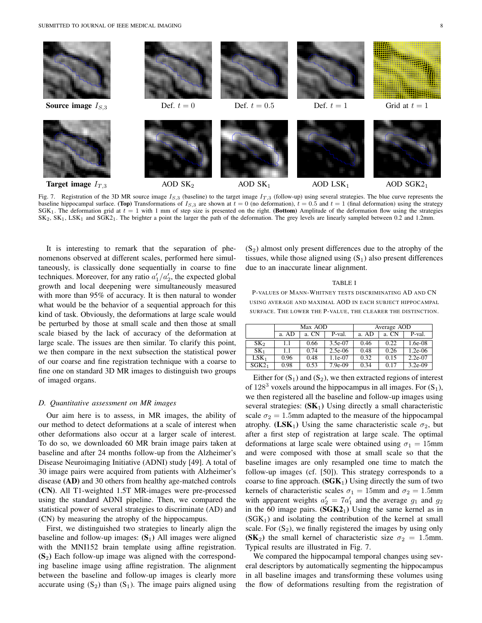

Fig. 7. Registration of the 3D MR source image  $I_{5,3}$  (baseline) to the target image  $I_{T,3}$  (follow-up) using several strategies. The blue curve represents the baseline hippocampal surface. (Top) Transformations of  $I_{S,3}$  are shown at  $t = 0$  (no deformation),  $t = 0.5$  and  $t = 1$  (final deformation) using the strategy  $S G K_1$ . The deformation grid at  $t = 1$  with 1 mm of step size is presented on the right. (Bottom) Amplitude of the deformation flow using the strategies SK2, SK1, LSK1 and SGK21. The brighter a point the larger the path of the deformation. The grey levels are linearly sampled between 0.2 and 1.2mm.

It is interesting to remark that the separation of phenomenons observed at different scales, performed here simultaneously, is classically done sequentially in coarse to fine techniques. Moreover, for any ratio  $a'_1/a'_2$ , the expected global growth and local deepening were simultaneously measured with more than 95% of accuracy. It is then natural to wonder what would be the behavior of a sequential approach for this kind of task. Obviously, the deformations at large scale would be perturbed by those at small scale and then those at small scale biased by the lack of accuracy of the deformation at large scale. The issues are then similar. To clarify this point, we then compare in the next subsection the statistical power of our coarse and fine registration technique with a coarse to fine one on standard 3D MR images to distinguish two groups of imaged organs.

## *D. Quantitative assessment on MR images*

Our aim here is to assess, in MR images, the ability of our method to detect deformations at a scale of interest when other deformations also occur at a larger scale of interest. To do so, we downloaded 60 MR brain image pairs taken at baseline and after 24 months follow-up from the Alzheimer's Disease Neuroimaging Initiative (ADNI) study [49]. A total of 30 image pairs were acquired from patients with Alzheimer's disease (AD) and 30 others from healthy age-matched controls (CN). All T1-weighted 1.5T MR-images were pre-processed using the standard ADNI pipeline. Then, we compared the statistical power of several strategies to discriminate (AD) and (CN) by measuring the atrophy of the hippocampus.

First, we distinguished two strategies to linearly align the baseline and follow-up images:  $(S_1)$  All images were aligned with the MNI152 brain template using affine registration.  $(S_2)$  Each follow-up image was aligned with the corresponding baseline image using affine registration. The alignment between the baseline and follow-up images is clearly more accurate using  $(S_2)$  than  $(S_1)$ . The image pairs aligned using  $(S_2)$  almost only present differences due to the atrophy of the tissues, while those aligned using  $(S_1)$  also present differences due to an inaccurate linear alignment.

#### TABLE I

P-VALUES OF MANN-WHITNEY TESTS DISCRIMINATING AD AND CN USING AVERAGE AND MAXIMAL AOD IN EACH SUBJECT HIPPOCAMPAL SURFACE. THE LOWER THE P-VALUE, THE CLEARER THE DISTINCTION.

|                   | Max AOD |       |           | Average AOD |       |           |
|-------------------|---------|-------|-----------|-------------|-------|-----------|
|                   | a. AD   | a. CN | P-val.    | a. AD       | a. CN | P-val.    |
| SK <sub>2</sub>   | 1.1     | 0.66  | 3.5e-07   | 0.46        | 0.22  | 1.6e-08   |
| SK <sub>1</sub>   | 1.1     | 0.74  | $2.5e-06$ | 0.48        | 0.26  | $1.2e-06$ |
| LSK <sub>1</sub>  | 0.96    | 0.48  | 1.1e-07   | 0.32        | 0.15  | $2.2e-07$ |
| SGK2 <sub>1</sub> | 0.98    | 0.53  | 7.9e-09   | 0.34        | 0.17  | $3.2e-09$ |

Either for  $(S_1)$  and  $(S_2)$ , we then extracted regions of interest of  $128<sup>3</sup>$  voxels around the hippocampus in all images. For  $(S_1)$ , we then registered all the baseline and follow-up images using several strategies:  $(SK_1)$  Using directly a small characteristic scale  $\sigma_2 = 1.5$ mm adapted to the measure of the hippocampal atrophy. (LSK<sub>1</sub>) Using the same characteristic scale  $\sigma_2$ , but after a first step of registration at large scale. The optimal deformations at large scale were obtained using  $\sigma_1 = 15$ mm and were composed with those at small scale so that the baseline images are only resampled one time to match the follow-up images (cf. [50]). This strategy corresponds to a coarse to fine approach.  $(SGK_1)$  Using directly the sum of two kernels of characteristic scales  $\sigma_1 = 15$ mm and  $\sigma_2 = 1.5$ mm with apparent weights  $a'_2 = 7a'_1$  and the average  $g_1$  and  $g_2$ in the 60 image pairs.  $(SGK2<sub>1</sub>)$  Using the same kernel as in  $(SGK<sub>1</sub>)$  and isolating the contribution of the kernel at small scale. For  $(S_2)$ , we finally registered the images by using only (SK<sub>2</sub>) the small kernel of characteristic size  $\sigma_2 = 1.5$ mm. Typical results are illustrated in Fig. 7.

We compared the hippocampal temporal changes using several descriptors by automatically segmenting the hippocampus in all baseline images and transforming these volumes using the flow of deformations resulting from the registration of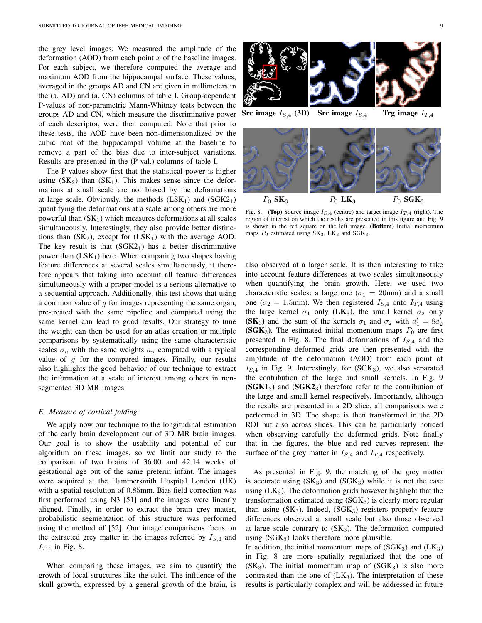the grey level images. We measured the amplitude of the deformation (AOD) from each point  $x$  of the baseline images. For each subject, we therefore computed the average and maximum AOD from the hippocampal surface. These values, averaged in the groups AD and CN are given in millimeters in the (a. AD) and (a. CN) columns of table I. Group-dependent P-values of non-parametric Mann-Whitney tests between the groups AD and CN, which measure the discriminative power of each descriptor, were then computed. Note that prior to these tests, the AOD have been non-dimensionalized by the cubic root of the hippocampal volume at the baseline to remove a part of the bias due to inter-subject variations. Results are presented in the (P-val.) columns of table I.

The P-values show first that the statistical power is higher using  $(SK_2)$  than  $(SK_1)$ . This makes sense since the deformations at small scale are not biased by the deformations at large scale. Obviously, the methods  $(LSK_1)$  and  $(SGK_2)$ quantifying the deformations at a scale among others are more powerful than  $(SK_1)$  which measures deformations at all scales simultaneously. Interestingly, they also provide better distinctions than  $(SK_2)$ , except for  $(LSK_1)$  with the average AOD. The key result is that  $(SGK2<sub>1</sub>)$  has a better discriminative power than  $(LSK<sub>1</sub>)$  here. When comparing two shapes having feature differences at several scales simultaneously, it therefore appears that taking into account all feature differences simultaneously with a proper model is a serious alternative to a sequential approach. Additionally, this test shows that using a common value of  $q$  for images representing the same organ, pre-treated with the same pipeline and compared using the same kernel can lead to good results. Our strategy to tune the weight can then be used for an atlas creation or multiple comparisons by systematically using the same characteristic scales  $\sigma_n$  with the same weights  $a_n$  computed with a typical value of  $q$  for the compared images. Finally, our results also highlights the good behavior of our technique to extract the information at a scale of interest among others in nonsegmented 3D MR images.

## *E. Measure of cortical folding*

We apply now our technique to the longitudinal estimation of the early brain development out of 3D MR brain images. Our goal is to show the usability and potential of our algorithm on these images, so we limit our study to the comparison of two brains of 36.00 and 42.14 weeks of gestational age out of the same preterm infant. The images were acquired at the Hammersmith Hospital London (UK) with a spatial resolution of 0.85mm. Bias field correction was first performed using N3 [51] and the images were linearly aligned. Finally, in order to extract the brain grey matter, probabilistic segmentation of this structure was performed using the method of [52]. Our image comparisons focus on the extracted grey matter in the images referred by  $I_{S,4}$  and  $I_{T,4}$  in Fig. 8.

When comparing these images, we aim to quantify the growth of local structures like the sulci. The influence of the skull growth, expressed by a general growth of the brain, is

Src image  $I_{S,4}$  (3D) Src image  $I_{S,4}$  Trg image  $I_{T,4}$ 



Fig. 8. (Top) Source image  $I_{S,4}$  (centre) and target image  $I_{T,4}$  (right). The region of interest on which the results are presented in this figure and Fig. 9 is shown in the red square on the left image. (Bottom) Initial momentum maps  $P_0$  estimated using  $SK_3$ ,  $LK_3$  and  $SGK_3$ .

also observed at a larger scale. It is then interesting to take into account feature differences at two scales simultaneously when quantifying the brain growth. Here, we used two characteristic scales: a large one ( $\sigma_1 = 20$ mm) and a small one ( $\sigma_2 = 1.5$ mm). We then registered  $I_{S,4}$  onto  $I_{T,4}$  using the large kernel  $\sigma_1$  only (LK<sub>3</sub>), the small kernel  $\sigma_2$  only (SK<sub>3</sub>) and the sum of the kernels  $\sigma_1$  and  $\sigma_2$  with  $a'_1 = 8a'_2$ (SGK<sub>3</sub>). The estimated initial momentum maps  $P_0$  are first presented in Fig. 8. The final deformations of  $I_{S,4}$  and the corresponding deformed grids are then presented with the amplitude of the deformation (AOD) from each point of  $I_{S,4}$  in Fig. 9. Interestingly, for (SGK<sub>3</sub>), we also separated the contribution of the large and small kernels. In Fig. 9  $(SGK1<sub>3</sub>)$  and  $(SGK2<sub>3</sub>)$  therefore refer to the contribution of the large and small kernel respectively. Importantly, although the results are presented in a 2D slice, all comparisons were performed in 3D. The shape is then transformed in the 2D ROI but also across slices. This can be particularly noticed when observing carefully the deformed grids. Note finally that in the figures, the blue and red curves represent the surface of the grey matter in  $I_{S,4}$  and  $I_{T,4}$  respectively.

As presented in Fig. 9, the matching of the grey matter is accurate using  $(SK_3)$  and  $(SGK_3)$  while it is not the case using  $(LK_3)$ . The deformation grids however highlight that the transformation estimated using  $(SGK_3)$  is clearly more regular than using  $(SK_3)$ . Indeed,  $(SGK_3)$  registers properly feature differences observed at small scale but also those observed at large scale contrary to  $(SK_3)$ . The deformation computed using  $(SGK_3)$  looks therefore more plausible.

In addition, the initial momentum maps of  $(SGK_3)$  and  $(LK_3)$ in Fig. 8 are more spatially regularized that the one of  $(SK_3)$ . The initial momentum map of  $(SGK_3)$  is also more contrasted than the one of  $(LK_3)$ . The interpretation of these results is particularly complex and will be addressed in future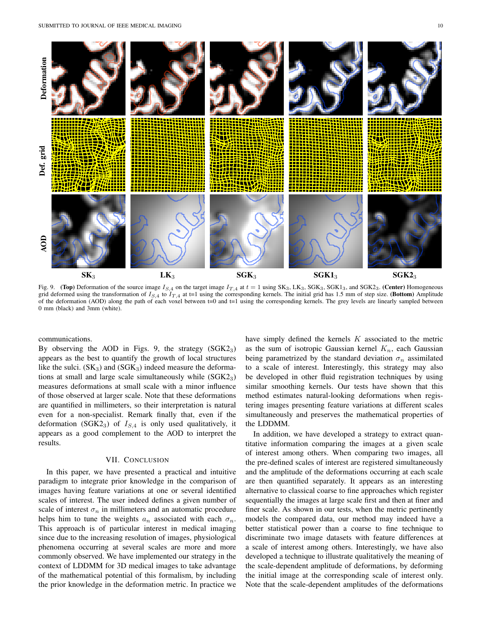

Fig. 9. (Top) Deformation of the source image  $I_{S,4}$  on the target image  $I_{T,4}$  at  $t = 1$  using SK<sub>3</sub>, LK<sub>3</sub>, SGK<sub>3</sub>, SGK<sub>13</sub>, and SGK<sub>23</sub>. (Center) Homogeneous grid deformed using the transformation of  $I_{S,4}$  to  $I_{T,4}$  at t=1 using the corresponding kernels. The initial grid has 1.5 mm of step size. (Bottom) Amplitude of the deformation (AOD) along the path of each voxel between t=0 and t=1 using the corresponding kernels. The grey levels are linearly sampled between 0 mm (black) and 3mm (white).

 $\mathbf{SK}_3$   $\mathbf{LK}_3$   $\mathbf{SGK}_3$   $\mathbf{SGK1}_3$   $\mathbf{SGK2}_3$ 

communications.

By observing the AOD in Figs. 9, the strategy  $(SGK2<sub>3</sub>)$ appears as the best to quantify the growth of local structures like the sulci.  $(SK_3)$  and  $(SGK_3)$  indeed measure the deformations at small and large scale simultaneously while  $(SGK2<sub>3</sub>)$ measures deformations at small scale with a minor influence of those observed at larger scale. Note that these deformations are quantified in millimeters, so their interpretation is natural even for a non-specialist. Remark finally that, even if the deformation (SGK2<sub>3</sub>) of  $I_{S,4}$  is only used qualitatively, it appears as a good complement to the AOD to interpret the results.

## VII. CONCLUSION

In this paper, we have presented a practical and intuitive paradigm to integrate prior knowledge in the comparison of images having feature variations at one or several identified scales of interest. The user indeed defines a given number of scale of interest  $\sigma_n$  in millimeters and an automatic procedure helps him to tune the weights  $a_n$  associated with each  $\sigma_n$ . This approach is of particular interest in medical imaging since due to the increasing resolution of images, physiological phenomena occurring at several scales are more and more commonly observed. We have implemented our strategy in the context of LDDMM for 3D medical images to take advantage of the mathematical potential of this formalism, by including the prior knowledge in the deformation metric. In practice we

have simply defined the kernels  $K$  associated to the metric as the sum of isotropic Gaussian kernel  $K_n$ , each Gaussian being parametrized by the standard deviation  $\sigma_n$  assimilated to a scale of interest. Interestingly, this strategy may also be developed in other fluid registration techniques by using similar smoothing kernels. Our tests have shown that this method estimates natural-looking deformations when registering images presenting feature variations at different scales simultaneously and preserves the mathematical properties of the LDDMM.

In addition, we have developed a strategy to extract quantitative information comparing the images at a given scale of interest among others. When comparing two images, all the pre-defined scales of interest are registered simultaneously and the amplitude of the deformations occurring at each scale are then quantified separately. It appears as an interesting alternative to classical coarse to fine approaches which register sequentially the images at large scale first and then at finer and finer scale. As shown in our tests, when the metric pertinently models the compared data, our method may indeed have a better statistical power than a coarse to fine technique to discriminate two image datasets with feature differences at a scale of interest among others. Interestingly, we have also developed a technique to illustrate qualitatively the meaning of the scale-dependent amplitude of deformations, by deforming the initial image at the corresponding scale of interest only. Note that the scale-dependent amplitudes of the deformations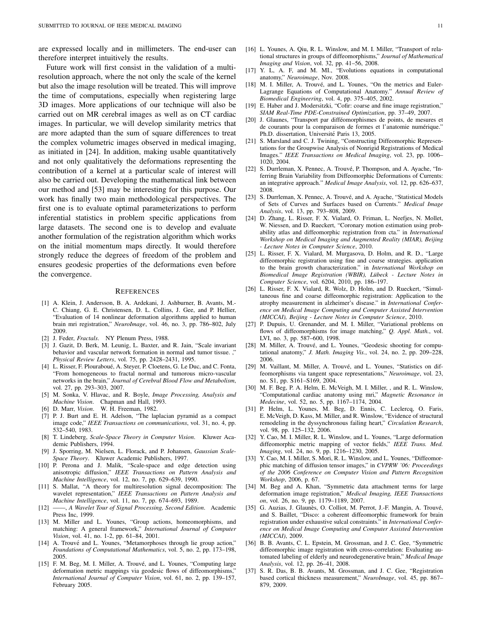are expressed locally and in millimeters. The end-user can therefore interpret intuitively the results.

Future work will first consist in the validation of a multiresolution approach, where the not only the scale of the kernel but also the image resolution will be treated. This will improve the time of computations, especially when registering large 3D images. More applications of our technique will also be carried out on MR cerebral images as well as on CT cardiac images. In particular, we will develop similarity metrics that are more adapted than the sum of square differences to treat the complex volumetric images observed in medical imaging, as initiated in [24]. In addition, making usable quantitatively and not only qualitatively the deformations representing the contribution of a kernel at a particular scale of interest will also be carried out. Developing the mathematical link between our method and [53] may be interesting for this purpose. Our work has finally two main methodological perspectives. The first one is to evaluate optimal parameterizations to perform inferential statistics in problem specific applications from large datasets. The second one is to develop and evaluate another formulation of the registration algorithm which works on the initial momentum maps directly. It would therefore strongly reduce the degrees of freedom of the problem and ensures geodesic properties of the deformations even before the convergence.

#### **REFERENCES**

- [1] A. Klein, J. Andersson, B. A. Ardekani, J. Ashburner, B. Avants, M.- C. Chiang, G. E. Christensen, D. L. Collins, J. Gee, and P. Hellier, "Evaluation of 14 nonlinear deformation algorithms applied to human brain mri registration," *NeuroImage*, vol. 46, no. 3, pp. 786–802, July 2009.
- [2] J. Feder, *Fractals*. NY Plenum Press, 1988.
- [3] J. Gazit, D. Berk, M. Leunig, L. Baxter, and R. Jain, "Scale invariant behavior and vascular network formation in normal and tumor tissue. *Physical Review Letters*, vol. 75, pp. 2428–2431, 1995.
- [4] L. Risser, F. Plouraboué, A. Steyer, P. Cloetens, G. Le Duc, and C. Fonta, "From homogeneous to fractal normal and tumorous micro-vascular networks in the brain," *Journal of Cerebral Blood Flow and Metabolism*, vol. 27, pp. 293–303, 2007.
- [5] M. Sonka, V. Hlavac, and R. Boyle, *Image Processing, Analysis and Machine Vision*. Chapman and Hall, 1993.
- [6] D. Marr, *Vision*. W. H. Freeman, 1982.
- [7] P. J. Burt and E. H. Adelson, "The laplacian pyramid as a compact image code," *IEEE Transactions on communications*, vol. 31, no. 4, pp. 532–540, 1983.
- [8] T. Lindeberg, *Scale-Space Theory in Computer Vision*. Kluwer Academic Publishers, 1994.
- [9] J. Sporring, M. Nielsen, L. Florack, and P. Johansen, *Gaussian Scale-Space Theory*. Kluwer Academic Publishers, 1997.
- [10] P. Perona and J. Malik, "Scale-space and edge detection using anisotropic diffusion," *IEEE Transactions on Pattern Analysis and Machine Intelligence*, vol. 12, no. 7, pp. 629–639, 1990.
- [11] S. Mallat, "A theory for multiresolution signal decomposition: The wavelet representation," *IEEE Transactions on Pattern Analysis and Machine Intelligence*, vol. 11, no. 7, pp. 674–693, 1989.
- [12] ——, *A Wavelet Tour of Signal Processing, Second Edition*. Academic Press Inc, 1999.
- [13] M. Miller and L. Younes, "Group actions, homeomorphisms, and matching: A general framework," *International Journal of Computer Vision*, vol. 41, no. 1-2, pp. 61–84, 2001.
- [14] A. Trouvé and L. Younes, "Metamorphoses through lie group action," *Foundations of Computational Mathematics*, vol. 5, no. 2, pp. 173–198, 2005.
- [15] F. M. Beg, M. I. Miller, A. Trouvé, and L. Younes, "Computing large deformation metric mappings via geodesic flows of diffeomorphisms," *International Journal of Computer Vision*, vol. 61, no. 2, pp. 139–157, February 2005.
- [16] L. Younes, A. Qiu, R. L. Winslow, and M. I. Miller, "Transport of relational structures in groups of diffeomorphisms," *Journal of Mathematical Imaging and Vision*, vol. 32, pp. 41–56, 2008.
- [17] Y. L, A. F, and M. MI., "Evolutions equations in computational anatomy," *Neuroimage*, Nov. 2008.
- [18] M. I. Miller, A. Trouvé, and L. Younes, "On the metrics and Euler-Lagrange Equations of Computational Anatomy." *Annual Review of Biomedical Engineering*, vol. 4, pp. 375–405, 2002.
- [19] E. Haber and J. Modersitzki, "Cofir: coarse and fine image registration," *SIAM Real-Time PDE-Constrained Optimization*, pp. 37–49, 2007.
- [20] J. Glaunes, "Transport par difféomorphismes de points, de mesures et de courants pour la comparaison de formes et l'anatomie numerique." ´ Ph.D. dissertation, Université Paris 13, 2005.
- [21] S. Marsland and C. J. Twining, "Constructing Diffeomorphic Representations for the Groupwise Analysis of Nonrigid Registrations of Medical Images." *IEEE Transactions on Medical Imaging*, vol. 23, pp. 1006– 1020, 2004.
- [22] S. Durrleman, X. Pennec, A. Trouvé, P. Thompson, and A. Ayache, "Inferring Brain Variability from Diffeomorphic Deformations of Currents: an integrative approach." *Medical Image Analysis*, vol. 12, pp. 626–637, 2008.
- [23] S. Durrleman, X. Pennec, A. Trouvé, and A. Ayache, "Statistical Models of Sets of Curves and Surfaces based on Currents." *Medical Image Analysis*, vol. 13, pp. 793–808, 2009.
- [24] D. Zhang, L. Risser, F. X. Vialard, O. Friman, L. Neefjes, N. Mollet, W. Niessen, and D. Rueckert, "Coronary motion estimation using probability atlas and diffeomorphic registration from cta." in *International Workshop on Medical Imaging and Augmented Reality (MIAR), Beijing - Lecture Notes in Computer Science*, 2010.
- [25] L. Risser, F. X. Vialard, M. Murgasova, D. Holm, and R. D., "Large diffeomorphic registration using fine and coarse strategies. application to the brain growth characterization." in *International Workshop on Biomedical Image Registration (WBIR), Lübeck - Lecture Notes in Computer Science*, vol. 6204, 2010, pp. 186–197.
- [26] L. Risser, F. X. Vialard, R. Wolz, D. Holm, and D. Rueckert, "Simultaneous fine and coarse diffeomorphic registration: Application to the atrophy measurement in alzheimer's disease." in *International Conference on Medical Image Computing and Computer Assisted Intervention (MICCAI), Beijing - Lecture Notes in Computer Science*, 2010.
- [27] P. Dupuis, U. Grenander, and M. I. Miller, "Variational problems on flows of diffeomorphisms for image matching," *Q. Appl. Math.*, vol. LVI, no. 3, pp. 587–600, 1998.
- [28] M. Miller, A. Trouvé, and L. Younes, "Geodesic shooting for computational anatomy," *J. Math. Imaging Vis.*, vol. 24, no. 2, pp. 209–228, 2006.
- [29] M. Vaillant, M. Miller, A. Trouvé, and L. Younes, "Statistics on diffeomorphisms via tangent space representations," *Neuroimage*, vol. 23, no. S1, pp. S161–S169, 2004.
- [30] M. F. Beg, P. A. Helm, E. McVeigh, M. I. Miller, , and R. L. Winslow, "Computational cardiac anatomy using mri," *Magnetic Resonance in Medecine*, vol. 52, no. 5, pp. 1167–1174, 2004.
- [31] P. Helm, L. Younes, M. Beg, D. Ennis, C. Leclercq, O. Faris, E. McVeigh, D. Kass, M. Miller, and R. Winslow, "Evidence of structural remodeling in the dyssynchronous failing heart," *Circulation Research*, vol. 98, pp. 125–132, 2006.
- [32] Y. Cao, M. I. Miller, R. L. Winslow, and L. Younes, "Large deformation diffeomorphic metric mapping of vector fields," *IEEE Trans. Med. Imaging*, vol. 24, no. 9, pp. 1216–1230, 2005.
- [33] Y. Cao, M. I. Miller, S. Mori, R. L. Winslow, and L. Younes, "Diffeomorphic matching of diffusion tensor images," in *CVPRW '06: Proceedings of the 2006 Conference on Computer Vision and Pattern Recognition Workshop*, 2006, p. 67.
- [34] M. Beg and A. Khan, "Symmetric data attachment terms for large deformation image registration," *Medical Imaging, IEEE Transactions on*, vol. 26, no. 9, pp. 1179–1189, 2007.
- [35] G. Auzias, J. Glaunès, O. Colliot, M. Perrot, J.-F. Mangin, A. Trouvé, and S. Baillet, "Disco: a coherent diffeomorphic framework for brain registration under exhaustive sulcal constraints." in *International Conference on Medical Image Computing and Computer Assisted Intervention (MICCAI)*, 2009.
- [36] B. B. Avants, C. L. Epstein, M. Grossman, and J. C. Gee, "Symmetric diffeomorphic image registration with cross-correlation: Evaluating automated labeling of elderly and neurodegenerative brain," *Medical Image Analysis*, vol. 12, pp. 26–41, 2008.
- [37] S. R. Das, B. B. Avants, M. Grossman, and J. C. Gee, "Registration based cortical thickness measurement," *NeuroImage*, vol. 45, pp. 867– 879, 2009.